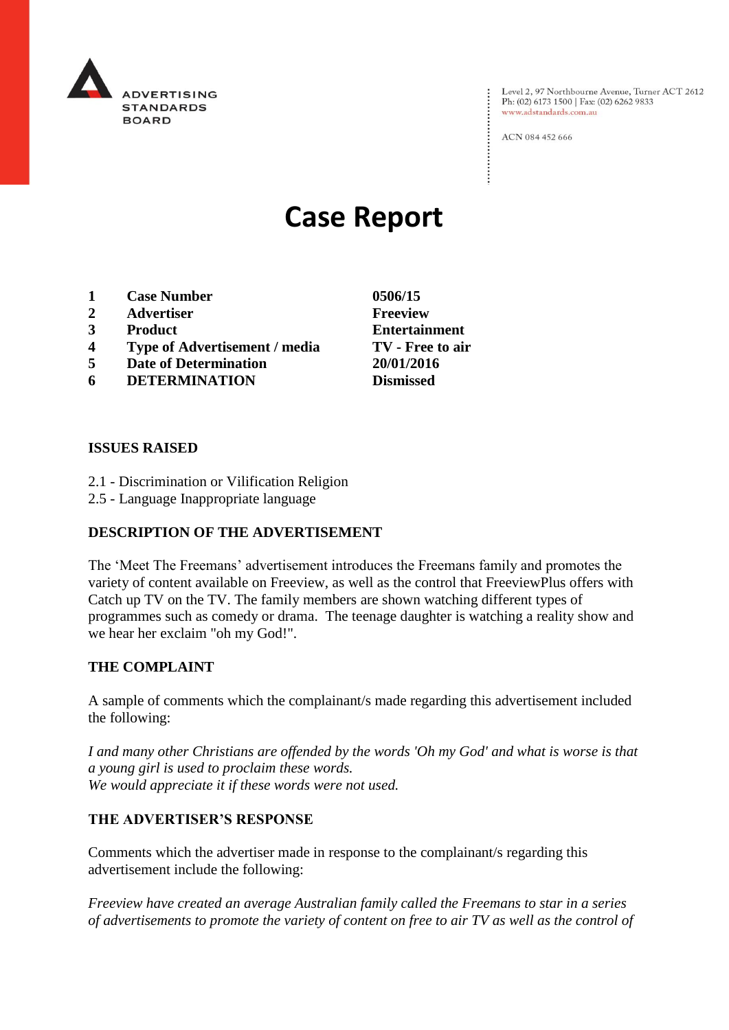

Level 2, 97 Northbourne Avenue, Turner ACT 2612<br>Ph: (02) 6173 1500 | Fax: (02) 6262 9833 www.adstandards.com.au

ACN 084 452 666

# **Case Report**

- **1 Case Number 0506/15**
- **2 Advertiser Freeview**
- **3 Product Entertainment**
- **4 Type of Advertisement / media TV - Free to air**
- **5 Date of Determination 20/01/2016**
- **6 DETERMINATION Dismissed**

### **ISSUES RAISED**

- 2.1 Discrimination or Vilification Religion
- 2.5 Language Inappropriate language

### **DESCRIPTION OF THE ADVERTISEMENT**

The 'Meet The Freemans' advertisement introduces the Freemans family and promotes the variety of content available on Freeview, as well as the control that FreeviewPlus offers with Catch up TV on the TV. The family members are shown watching different types of programmes such as comedy or drama. The teenage daughter is watching a reality show and we hear her exclaim "oh my God!".

### **THE COMPLAINT**

A sample of comments which the complainant/s made regarding this advertisement included the following:

*I and many other Christians are offended by the words 'Oh my God' and what is worse is that a young girl is used to proclaim these words. We would appreciate it if these words were not used.*

## **THE ADVERTISER'S RESPONSE**

Comments which the advertiser made in response to the complainant/s regarding this advertisement include the following:

*Freeview have created an average Australian family called the Freemans to star in a series of advertisements to promote the variety of content on free to air TV as well as the control of*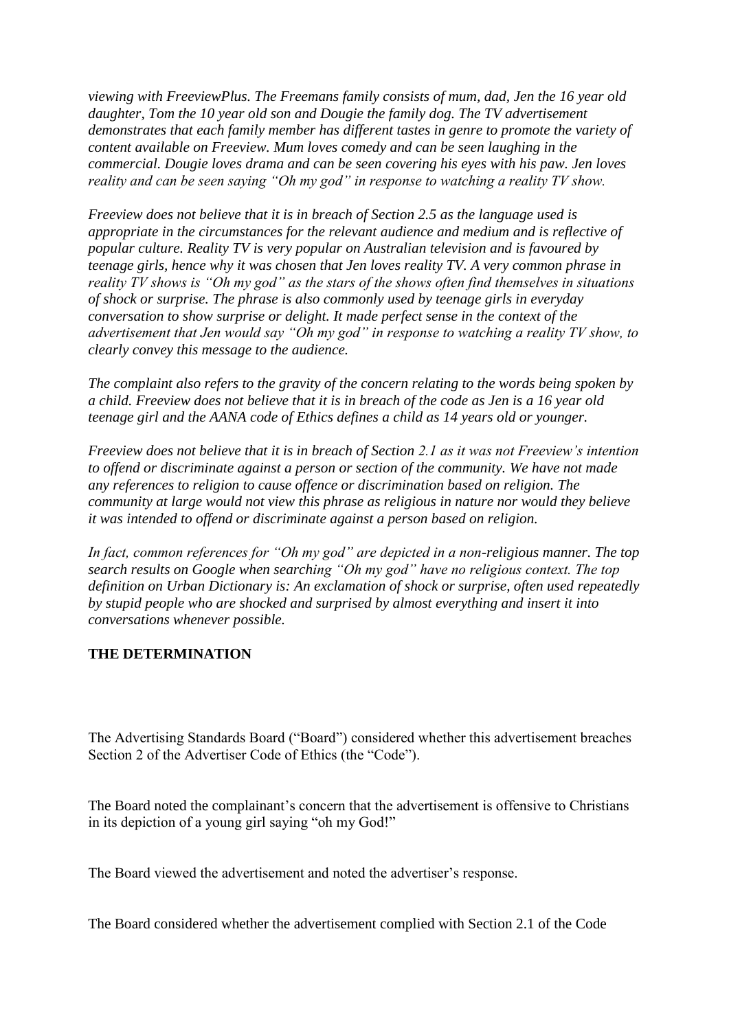*viewing with FreeviewPlus. The Freemans family consists of mum, dad, Jen the 16 year old daughter, Tom the 10 year old son and Dougie the family dog. The TV advertisement demonstrates that each family member has different tastes in genre to promote the variety of content available on Freeview. Mum loves comedy and can be seen laughing in the commercial. Dougie loves drama and can be seen covering his eyes with his paw. Jen loves reality and can be seen saying "Oh my god" in response to watching a reality TV show.*

*Freeview does not believe that it is in breach of Section 2.5 as the language used is appropriate in the circumstances for the relevant audience and medium and is reflective of popular culture. Reality TV is very popular on Australian television and is favoured by teenage girls, hence why it was chosen that Jen loves reality TV. A very common phrase in reality TV shows is "Oh my god" as the stars of the shows often find themselves in situations of shock or surprise. The phrase is also commonly used by teenage girls in everyday conversation to show surprise or delight. It made perfect sense in the context of the advertisement that Jen would say "Oh my god" in response to watching a reality TV show, to clearly convey this message to the audience.*

*The complaint also refers to the gravity of the concern relating to the words being spoken by a child. Freeview does not believe that it is in breach of the code as Jen is a 16 year old teenage girl and the AANA code of Ethics defines a child as 14 years old or younger.*

*Freeview does not believe that it is in breach of Section 2.1 as it was not Freeview's intention to offend or discriminate against a person or section of the community. We have not made any references to religion to cause offence or discrimination based on religion. The community at large would not view this phrase as religious in nature nor would they believe it was intended to offend or discriminate against a person based on religion.*

*In fact, common references for "Oh my god" are depicted in a non-religious manner. The top search results on Google when searching "Oh my god" have no religious context. The top definition on Urban Dictionary is: An exclamation of shock or surprise, often used repeatedly by stupid people who are shocked and surprised by almost everything and insert it into conversations whenever possible.*

### **THE DETERMINATION**

The Advertising Standards Board ("Board") considered whether this advertisement breaches Section 2 of the Advertiser Code of Ethics (the "Code").

The Board noted the complainant's concern that the advertisement is offensive to Christians in its depiction of a young girl saying "oh my God!"

The Board viewed the advertisement and noted the advertiser's response.

The Board considered whether the advertisement complied with Section 2.1 of the Code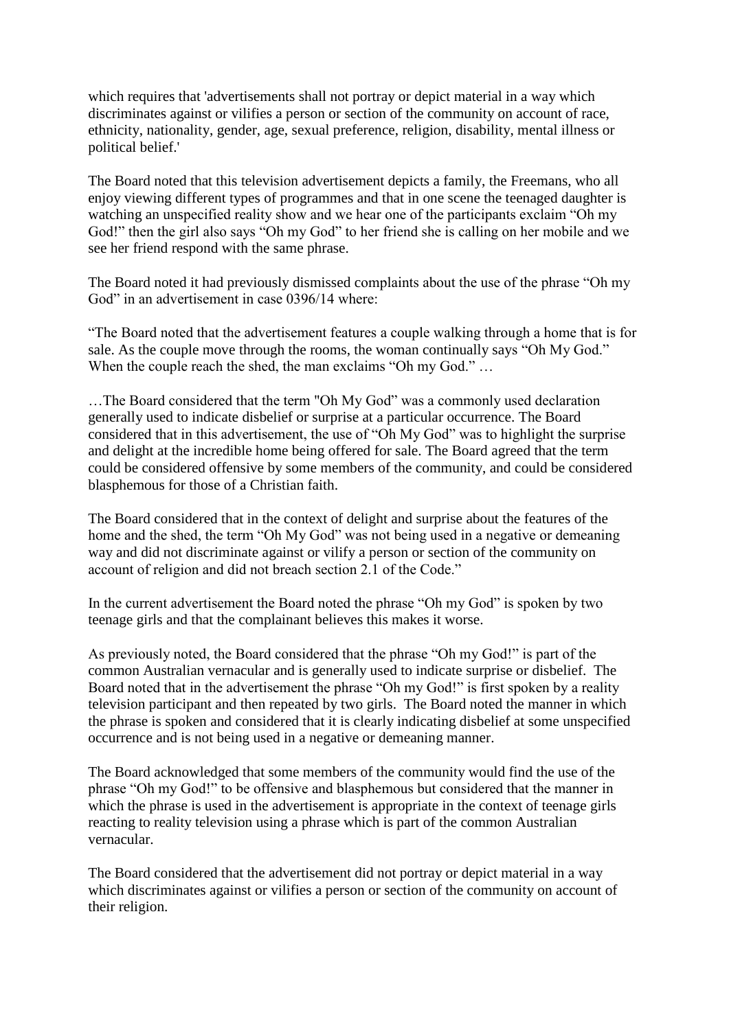which requires that 'advertisements shall not portray or depict material in a way which discriminates against or vilifies a person or section of the community on account of race, ethnicity, nationality, gender, age, sexual preference, religion, disability, mental illness or political belief.'

The Board noted that this television advertisement depicts a family, the Freemans, who all enjoy viewing different types of programmes and that in one scene the teenaged daughter is watching an unspecified reality show and we hear one of the participants exclaim "Oh my God!" then the girl also says "Oh my God" to her friend she is calling on her mobile and we see her friend respond with the same phrase.

The Board noted it had previously dismissed complaints about the use of the phrase "Oh my God" in an advertisement in case 0396/14 where:

"The Board noted that the advertisement features a couple walking through a home that is for sale. As the couple move through the rooms, the woman continually says "Oh My God." When the couple reach the shed, the man exclaims "Oh my God." ...

…The Board considered that the term "Oh My God" was a commonly used declaration generally used to indicate disbelief or surprise at a particular occurrence. The Board considered that in this advertisement, the use of "Oh My God" was to highlight the surprise and delight at the incredible home being offered for sale. The Board agreed that the term could be considered offensive by some members of the community, and could be considered blasphemous for those of a Christian faith.

The Board considered that in the context of delight and surprise about the features of the home and the shed, the term "Oh My God" was not being used in a negative or demeaning way and did not discriminate against or vilify a person or section of the community on account of religion and did not breach section 2.1 of the Code."

In the current advertisement the Board noted the phrase "Oh my God" is spoken by two teenage girls and that the complainant believes this makes it worse.

As previously noted, the Board considered that the phrase "Oh my God!" is part of the common Australian vernacular and is generally used to indicate surprise or disbelief. The Board noted that in the advertisement the phrase "Oh my God!" is first spoken by a reality television participant and then repeated by two girls. The Board noted the manner in which the phrase is spoken and considered that it is clearly indicating disbelief at some unspecified occurrence and is not being used in a negative or demeaning manner.

The Board acknowledged that some members of the community would find the use of the phrase "Oh my God!" to be offensive and blasphemous but considered that the manner in which the phrase is used in the advertisement is appropriate in the context of teenage girls reacting to reality television using a phrase which is part of the common Australian vernacular.

The Board considered that the advertisement did not portray or depict material in a way which discriminates against or vilifies a person or section of the community on account of their religion.